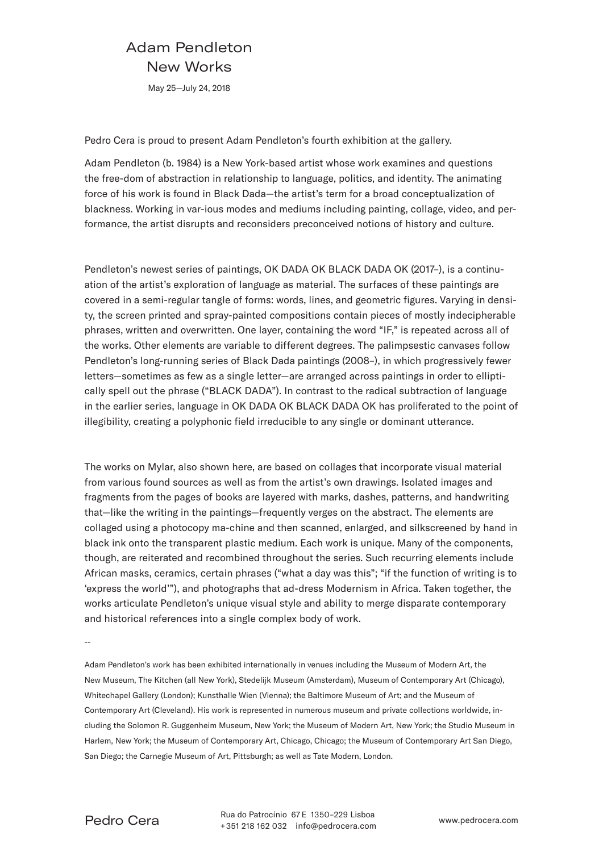## Adam Pendleton New Works

May 25—July 24, 2018

Pedro Cera is proud to present Adam Pendleton's fourth exhibition at the gallery.

Adam Pendleton (b. 1984) is a New York-based artist whose work examines and questions the free-dom of abstraction in relationship to language, politics, and identity. The animating force of his work is found in Black Dada—the artist's term for a broad conceptualization of blackness. Working in var-ious modes and mediums including painting, collage, video, and performance, the artist disrupts and reconsiders preconceived notions of history and culture.

Pendleton's newest series of paintings, OK DADA OK BLACK DADA OK (2017–), is a continuation of the artist's exploration of language as material. The surfaces of these paintings are covered in a semi-regular tangle of forms: words, lines, and geometric figures. Varying in density, the screen printed and spray-painted compositions contain pieces of mostly indecipherable phrases, written and overwritten. One layer, containing the word "IF," is repeated across all of the works. Other elements are variable to different degrees. The palimpsestic canvases follow Pendleton's long-running series of Black Dada paintings (2008–), in which progressively fewer letters—sometimes as few as a single letter—are arranged across paintings in order to elliptically spell out the phrase ("BLACK DADA"). In contrast to the radical subtraction of language in the earlier series, language in OK DADA OK BLACK DADA OK has proliferated to the point of illegibility, creating a polyphonic field irreducible to any single or dominant utterance.

The works on Mylar, also shown here, are based on collages that incorporate visual material from various found sources as well as from the artist's own drawings. Isolated images and fragments from the pages of books are layered with marks, dashes, patterns, and handwriting that—like the writing in the paintings—frequently verges on the abstract. The elements are collaged using a photocopy ma-chine and then scanned, enlarged, and silkscreened by hand in black ink onto the transparent plastic medium. Each work is unique. Many of the components, though, are reiterated and recombined throughout the series. Such recurring elements include African masks, ceramics, certain phrases ("what a day was this"; "if the function of writing is to 'express the world'"), and photographs that ad-dress Modernism in Africa. Taken together, the works articulate Pendleton's unique visual style and ability to merge disparate contemporary and historical references into a single complex body of work.

--

Adam Pendleton's work has been exhibited internationally in venues including the Museum of Modern Art, the New Museum, The Kitchen (all New York), Stedelijk Museum (Amsterdam), Museum of Contemporary Art (Chicago), Whitechapel Gallery (London); Kunsthalle Wien (Vienna); the Baltimore Museum of Art; and the Museum of Contemporary Art (Cleveland). His work is represented in numerous museum and private collections worldwide, including the Solomon R. Guggenheim Museum, New York; the Museum of Modern Art, New York; the Studio Museum in Harlem, New York; the Museum of Contemporary Art, Chicago, Chicago; the Museum of Contemporary Art San Diego, San Diego; the Carnegie Museum of Art, Pittsburgh; as well as Tate Modern, London.